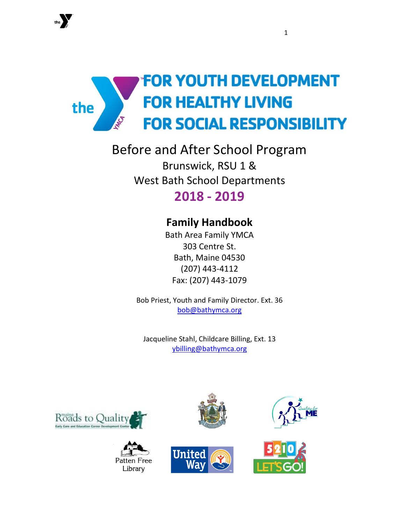

Before and After School Program Brunswick, RSU 1 & West Bath School Departments **2018 - 2019**

# **Family Handbook**

Bath Area Family YMCA 303 Centre St. Bath, Maine 04530 (207) 443-4112 Fax: (207) 443-1079

Bob Priest, Youth and Family Director. Ext. 36 [bob@bathymca.org](mailto:bob@bathymca.org)

Jacqueline Stahl, Childcare Billing, Ext. 13 [ybilling@bathymca.org](mailto:ybilling@bathymca.org)











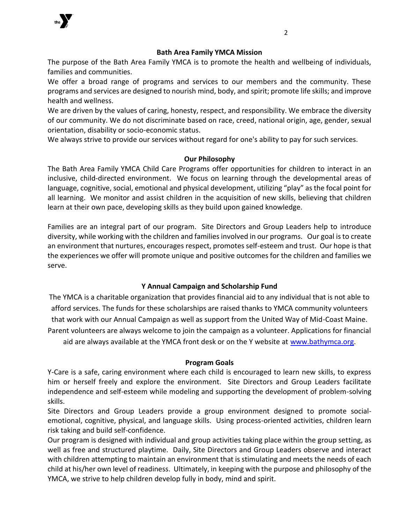

### **Bath Area Family YMCA Mission**

The purpose of the Bath Area Family YMCA is to promote the health and wellbeing of individuals, families and communities.

We offer a broad range of programs and services to our members and the community. These programs and services are designed to nourish mind, body, and spirit; promote life skills; and improve health and wellness.

We are driven by the values of caring, honesty, respect, and responsibility. We embrace the diversity of our community. We do not discriminate based on race, creed, national origin, age, gender, sexual orientation, disability or socio-economic status.

We always strive to provide our services without regard for one's ability to pay for such services.

# **Our Philosophy**

The Bath Area Family YMCA Child Care Programs offer opportunities for children to interact in an inclusive, child-directed environment. We focus on learning through the developmental areas of language, cognitive, social, emotional and physical development, utilizing "play" as the focal point for all learning. We monitor and assist children in the acquisition of new skills, believing that children learn at their own pace, developing skills as they build upon gained knowledge.

Families are an integral part of our program. Site Directors and Group Leaders help to introduce diversity, while working with the children and families involved in our programs. Our goal is to create an environment that nurtures, encourages respect, promotes self-esteem and trust. Our hope is that the experiences we offer will promote unique and positive outcomes for the children and families we serve.

# **Y Annual Campaign and Scholarship Fund**

The YMCA is a charitable organization that provides financial aid to any individual that is not able to afford services. The funds for these scholarships are raised thanks to YMCA community volunteers that work with our Annual Campaign as well as support from the United Way of Mid-Coast Maine. Parent volunteers are always welcome to join the campaign as a volunteer. Applications for financial aid are always available at the YMCA front desk or on the Y website at [www.bathymca.org.](http://www.bathymca.org/)

#### **Program Goals**

Y-Care is a safe, caring environment where each child is encouraged to learn new skills, to express him or herself freely and explore the environment. Site Directors and Group Leaders facilitate independence and self-esteem while modeling and supporting the development of problem-solving skills.

Site Directors and Group Leaders provide a group environment designed to promote socialemotional, cognitive, physical, and language skills. Using process-oriented activities, children learn risk taking and build self-confidence.

Our program is designed with individual and group activities taking place within the group setting, as well as free and structured playtime. Daily, Site Directors and Group Leaders observe and interact with children attempting to maintain an environment that is stimulating and meets the needs of each child at his/her own level of readiness. Ultimately, in keeping with the purpose and philosophy of the YMCA, we strive to help children develop fully in body, mind and spirit.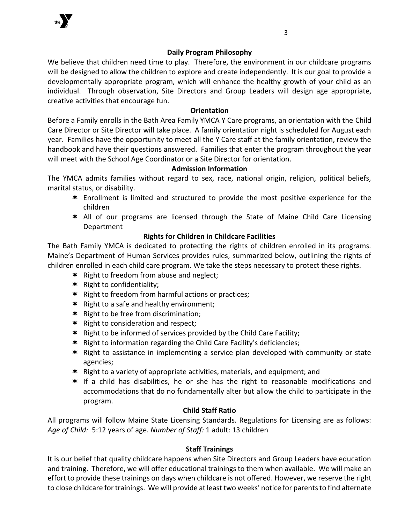

# **Daily Program Philosophy**

We believe that children need time to play. Therefore, the environment in our childcare programs will be designed to allow the children to explore and create independently. It is our goal to provide a developmentally appropriate program, which will enhance the healthy growth of your child as an individual. Through observation, Site Directors and Group Leaders will design age appropriate, creative activities that encourage fun.

# **Orientation**

Before a Family enrolls in the Bath Area Family YMCA Y Care programs, an orientation with the Child Care Director or Site Director will take place. A family orientation night is scheduled for August each year. Families have the opportunity to meet all the Y Care staff at the family orientation, review the handbook and have their questions answered. Families that enter the program throughout the year will meet with the School Age Coordinator or a Site Director for orientation.

# **Admission Information**

The YMCA admits families without regard to sex, race, national origin, religion, political beliefs, marital status, or disability.

- Enrollment is limited and structured to provide the most positive experience for the children
- All of our programs are licensed through the State of Maine Child Care Licensing Department

# **Rights for Children in Childcare Facilities**

The Bath Family YMCA is dedicated to protecting the rights of children enrolled in its programs. Maine's Department of Human Services provides rules, summarized below, outlining the rights of children enrolled in each child care program. We take the steps necessary to protect these rights.

- $*$  Right to freedom from abuse and neglect;
- $*$  Right to confidentiality;
- $*$  Right to freedom from harmful actions or practices;
- $*$  Right to a safe and healthy environment;
- $*$  Right to be free from discrimination;
- $*$  Right to consideration and respect;
- $*$  Right to be informed of services provided by the Child Care Facility;
- \* Right to information regarding the Child Care Facility's deficiencies;
- $*$  Right to assistance in implementing a service plan developed with community or state agencies;
- $*$  Right to a variety of appropriate activities, materials, and equipment; and
- $*$  If a child has disabilities, he or she has the right to reasonable modifications and accommodations that do no fundamentally alter but allow the child to participate in the program.

# **Child Staff Ratio**

All programs will follow Maine State Licensing Standards. Regulations for Licensing are as follows: *Age of Child:* 5:12 years of age. *Number of Staff:* 1 adult: 13 children

# **Staff Trainings**

It is our belief that quality childcare happens when Site Directors and Group Leaders have education and training. Therefore, we will offer educational trainings to them when available. We will make an effort to provide these trainings on days when childcare is not offered. However, we reserve the right to close childcare for trainings. We will provide at least two weeks' notice for parents to find alternate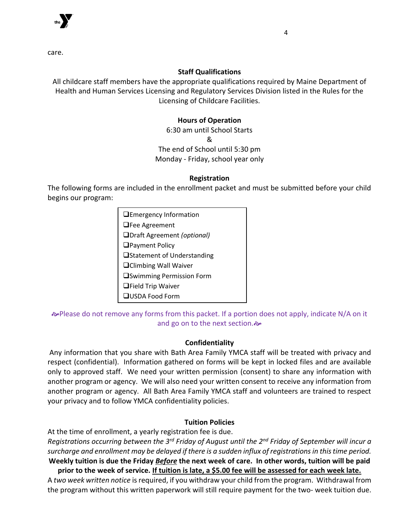

care.

# **Staff Qualifications**

All childcare staff members have the appropriate qualifications required by Maine Department of Health and Human Services Licensing and Regulatory Services Division listed in the Rules for the Licensing of Childcare Facilities.

# **Hours of Operation**

6:30 am until School Starts & The end of School until 5:30 pm Monday - Friday, school year only

### **Registration**

The following forms are included in the enrollment packet and must be submitted before your child begins our program:

| $\Box$ Emergency Information      |
|-----------------------------------|
| $\Box$ Fee Agreement              |
| □Draft Agreement (optional)       |
| $\Box$ Payment Policy             |
| □Statement of Understanding       |
| <b>□</b> Climbing Wall Waiver     |
| <b>■</b> Swimming Permission Form |
| $\Box$ Field Trip Waiver          |
| $\Box$ USDA Food Form             |

 $\infty$ **Please do not remove any forms from this packet. If a portion does not apply, indicate N/A on it** and go on to the next section.

# **Confidentiality**

Any information that you share with Bath Area Family YMCA staff will be treated with privacy and respect (confidential). Information gathered on forms will be kept in locked files and are available only to approved staff. We need your written permission (consent) to share any information with another program or agency. We will also need your written consent to receive any information from another program or agency. All Bath Area Family YMCA staff and volunteers are trained to respect your privacy and to follow YMCA confidentiality policies.

# **Tuition Policies**

At the time of enrollment, a yearly registration fee is due.

*Registrations occurring between the 3rd Friday of August until the 2nd Friday of September will incur a surcharge and enrollment may be delayed if there is a sudden influx of registrations in this time period.* **Weekly tuition is due the Friday** *Before* **the next week of care. In other words, tuition will be paid prior to the week of service. If tuition is late, a \$5.00 fee will be assessed for each week late.**

A *two week written notice* is required, if you withdraw your child from the program. Withdrawal from the program without this written paperwork will still require payment for the two- week tuition due.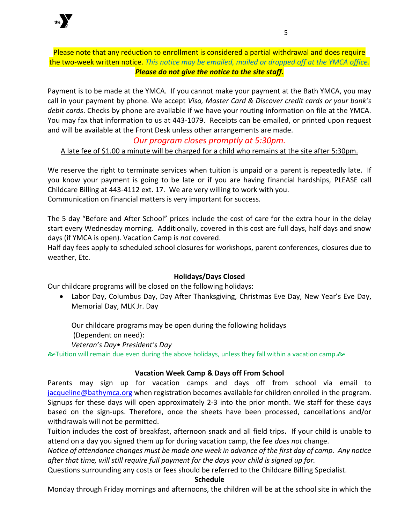

Please note that any reduction to enrollment is considered a partial withdrawal and does require the two-week written notice. *This notice may be emailed, mailed or dropped off at the YMCA office. Please do not give the notice to the site staff.*

Payment is to be made at the YMCA. If you cannot make your payment at the Bath YMCA, you may call in your payment by phone. We accept *Visa, Master Card & Discover credit cards or your bank's debit cards*. Checks by phone are available if we have your routing information on file at the YMCA. You may fax that information to us at 443-1079. Receipts can be emailed, or printed upon request and will be available at the Front Desk unless other arrangements are made.

# *Our program closes promptly at 5:30pm.*

A late fee of \$1.00 a minute will be charged for a child who remains at the site after 5:30pm.

We reserve the right to terminate services when tuition is unpaid or a parent is repeatedly late. If you know your payment is going to be late or if you are having financial hardships, PLEASE call Childcare Billing at 443-4112 ext. 17. We are very willing to work with you. Communication on financial matters is very important for success.

The 5 day "Before and After School" prices include the cost of care for the extra hour in the delay start every Wednesday morning. Additionally, covered in this cost are full days, half days and snow days (if YMCA is open). Vacation Camp is *not* covered.

Half day fees apply to scheduled school closures for workshops, parent conferences, closures due to weather, Etc.

# **Holidays/Days Closed**

Our childcare programs will be closed on the following holidays:

• Labor Day, Columbus Day, Day After Thanksgiving, Christmas Eve Day, New Year's Eve Day, Memorial Day, MLK Jr. Day

Our childcare programs may be open during the following holidays (Dependent on need): *Veteran's Day• President's Day*

 $\rightarrow$  Tuition will remain due even during the above holidays, unless they fall within a vacation camp. $\rightarrow$ 

# **Vacation Week Camp & Days off From School**

Parents may sign up for vacation camps and days off from school via email to [jacqueline@bathymca.org](mailto:jacqueline@bathymca.org) when registration becomes available for children enrolled in the program. Signups for these days will open approximately 2-3 into the prior month. We staff for these days based on the sign-ups. Therefore, once the sheets have been processed, cancellations and/or withdrawals will not be permitted.

Tuition includes the cost of breakfast, afternoon snack and all field trips**.** If your child is unable to attend on a day you signed them up for during vacation camp, the fee *does not* change.

*Notice of attendance changes must be made one week in advance of the first day of camp. Any notice after that time, will still require full payment for the days your child is signed up for.* 

Questions surrounding any costs or fees should be referred to the Childcare Billing Specialist.

#### **Schedule**

Monday through Friday mornings and afternoons, the children will be at the school site in which the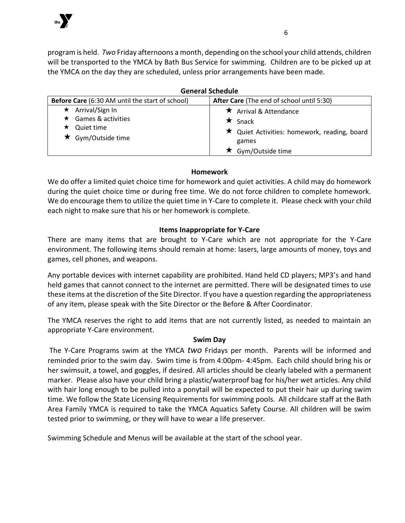

program is held. *Two* Friday afternoons a month, depending on the school your child attends, children will be transported to the YMCA by Bath Bus Service for swimming. Children are to be picked up at the YMCA on the day they are scheduled, unless prior arrangements have been made.

| <b>General Schedule</b>                                                              |                                                                                                                                    |
|--------------------------------------------------------------------------------------|------------------------------------------------------------------------------------------------------------------------------------|
| Before Care (6:30 AM until the start of school)                                      | After Care (The end of school until 5:30)                                                                                          |
| Arrival/Sign In<br>$\star$<br>Games & activities<br>Quiet time<br>★ Gym/Outside time | $\star$ Arrival & Attendance<br>$\star$ Snack<br>$\star$ Quiet Activities: homework, reading, board<br>games<br>★ Gym/Outside time |

# **Homework**

We do offer a limited quiet choice time for homework and quiet activities. A child may do homework during the quiet choice time or during free time. We do not force children to complete homework. We do encourage them to utilize the quiet time in Y-Care to complete it. Please check with your child each night to make sure that his or her homework is complete.

# **Items Inappropriate for Y-Care**

There are many items that are brought to Y-Care which are not appropriate for the Y-Care environment. The following items should remain at home: lasers, large amounts of money, toys and games, cell phones, and weapons.

Any portable devices with internet capability are prohibited. Hand held CD players; MP3's and hand held games that cannot connect to the internet are permitted. There will be designated times to use these items at the discretion of the Site Director. If you have a question regarding the appropriateness of any item, please speak with the Site Director or the Before & After Coordinator.

The YMCA reserves the right to add items that are not currently listed, as needed to maintain an appropriate Y-Care environment.

# **Swim Day**

The Y-Care Programs swim at the YMCA *two* Fridays per month. Parents will be informed and reminded prior to the swim day. Swim time is from 4:00pm- 4:45pm. Each child should bring his or her swimsuit, a towel, and goggles, if desired. All articles should be clearly labeled with a permanent marker. Please also have your child bring a plastic/waterproof bag for his/her wet articles. Any child with hair long enough to be pulled into a ponytail will be expected to put their hair up during swim time. We follow the State Licensing Requirements for swimming pools. All childcare staff at the Bath Area Family YMCA is required to take the YMCA Aquatics Safety Course. All children will be swim tested prior to swimming, or they will have to wear a life preserver.

Swimming Schedule and Menus will be available at the start of the school year.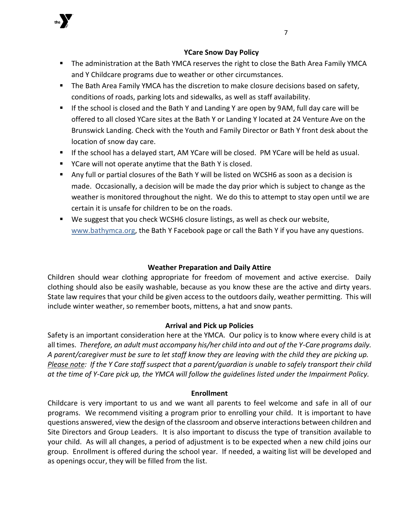

- **The administration at the Bath YMCA reserves the right to close the Bath Area Family YMCA** and Y Childcare programs due to weather or other circumstances.
- The Bath Area Family YMCA has the discretion to make closure decisions based on safety, conditions of roads, parking lots and sidewalks, as well as staff availability.
- If the school is closed and the Bath Y and Landing Y are open by 9AM, full day care will be offered to all closed YCare sites at the Bath Y or Landing Y located at 24 Venture Ave on the Brunswick Landing. Check with the Youth and Family Director or Bath Y front desk about the location of snow day care.
- If the school has a delayed start, AM YCare will be closed. PM YCare will be held as usual.
- YCare will not operate anytime that the Bath Y is closed.
- Any full or partial closures of the Bath Y will be listed on WCSH6 as soon as a decision is made. Occasionally, a decision will be made the day prior which is subject to change as the weather is monitored throughout the night. We do this to attempt to stay open until we are certain it is unsafe for children to be on the roads.
- We suggest that you check WCSH6 closure listings, as well as check our website, [www.bathymca.org,](http://www.bathymca.org/) the Bath Y Facebook page or call the Bath Y if you have any questions.

# **Weather Preparation and Daily Attire**

Children should wear clothing appropriate for freedom of movement and active exercise. Daily clothing should also be easily washable, because as you know these are the active and dirty years. State law requires that your child be given access to the outdoors daily, weather permitting. This will include winter weather, so remember boots, mittens, a hat and snow pants.

# **Arrival and Pick up Policies**

Safety is an important consideration here at the YMCA. Our policy is to know where every child is at all times. *Therefore, an adult must accompany his/her child into and out of the Y-Care programs daily. A parent/caregiver must be sure to let staff know they are leaving with the child they are picking up. Please note: If the Y Care staff suspect that a parent/guardian is unable to safely transport their child at the time of Y-Care pick up, the YMCA will follow the guidelines listed under the Impairment Policy.*

# **Enrollment**

Childcare is very important to us and we want all parents to feel welcome and safe in all of our programs. We recommend visiting a program prior to enrolling your child. It is important to have questions answered, view the design of the classroom and observe interactions between children and Site Directors and Group Leaders. It is also important to discuss the type of transition available to your child. As will all changes, a period of adjustment is to be expected when a new child joins our group. Enrollment is offered during the school year. If needed, a waiting list will be developed and as openings occur, they will be filled from the list.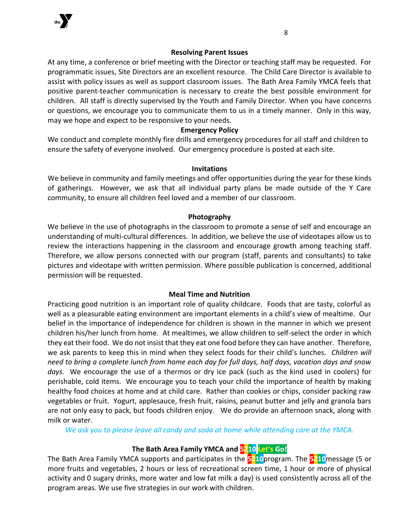

#### **Resolving Parent Issues**

At any time, a conference or brief meeting with the Director or teaching staff may be requested. For programmatic issues, Site Directors are an excellent resource. The Child Care Director is available to assist with policy issues as well as support classroom issues. The Bath Area Family YMCA feels that positive parent-teacher communication is necessary to create the best possible environment for children. All staff is directly supervised by the Youth and Family Director. When you have concerns or questions, we encourage you to communicate them to us in a timely manner. Only in this way, may we hope and expect to be responsive to your needs.

#### **Emergency Policy**

We conduct and complete monthly fire drills and emergency procedures for all staff and children to ensure the safety of everyone involved. Our emergency procedure is posted at each site.

#### **Invitations**

We believe in community and family meetings and offer opportunities during the year for these kinds of gatherings. However, we ask that all individual party plans be made outside of the Y Care community, to ensure all children feel loved and a member of our classroom.

#### **Photography**

We believe in the use of photographs in the classroom to promote a sense of self and encourage an understanding of multi-cultural differences. In addition, we believe the use of videotapes allow us to review the interactions happening in the classroom and encourage growth among teaching staff. Therefore, we allow persons connected with our program (staff, parents and consultants) to take pictures and videotape with written permission. Where possible publication is concerned, additional permission will be requested.

#### **Meal Time and Nutrition**

Practicing good nutrition is an important role of quality childcare. Foods that are tasty, colorful as well as a pleasurable eating environment are important elements in a child's view of mealtime. Our belief in the importance of independence for children is shown in the manner in which we present children his/her lunch from home. At mealtimes, we allow children to self-select the order in which they eat their food. We do not insist that they eat one food before they can have another. Therefore, we ask parents to keep this in mind when they select foods for their child's lunches. *Children will need to bring a complete lunch from home each day for full days, half days, vacation days and snow days.* We encourage the use of a thermos or dry ice pack (such as the kind used in coolers) for perishable, cold items. We encourage you to teach your child the importance of health by making healthy food choices at home and at child care. Rather than cookies or chips, consider packing raw vegetables or fruit. Yogurt, applesauce, fresh fruit, raisins, peanut butter and jelly and granola bars are not only easy to pack, but foods children enjoy. We do provide an afternoon snack, along with milk or water.

*We ask you to please leave all candy and soda at home while attending care at the YMCA.*

### **The Bath Area Family YMCA and 5210 Let's Go!**

The Bath Area Family YMCA supports and participates in the **5210**program. The **5210**message (5 or more fruits and vegetables, 2 hours or less of recreational screen time, 1 hour or more of physical activity and 0 sugary drinks, more water and low fat milk a day) is used consistently across all of the program areas. We use five strategies in our work with children.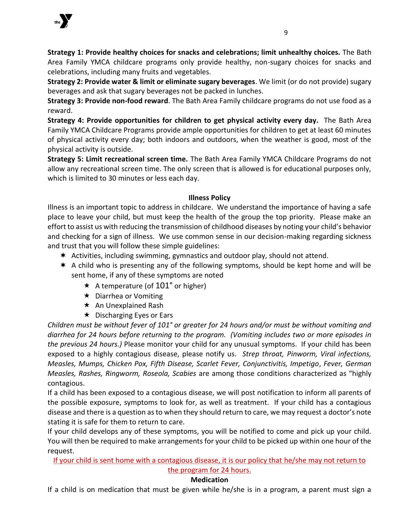

**Strategy 1: Provide healthy choices for snacks and celebrations; limit unhealthy choices.** The Bath Area Family YMCA childcare programs only provide healthy, non-sugary choices for snacks and celebrations, including many fruits and vegetables.

**Strategy 2: Provide water & limit or eliminate sugary beverages**. We limit (or do not provide) sugary beverages and ask that sugary beverages not be packed in lunches.

**Strategy 3: Provide non-food reward**. The Bath Area Family childcare programs do not use food as a reward.

**Strategy 4: Provide opportunities for children to get physical activity every day.** The Bath Area Family YMCA Childcare Programs provide ample opportunities for children to get at least 60 minutes of physical activity every day; both indoors and outdoors, when the weather is good, most of the physical activity is outside.

**Strategy 5: Limit recreational screen time.** The Bath Area Family YMCA Childcare Programs do not allow any recreational screen time. The only screen that is allowed is for educational purposes only, which is limited to 30 minutes or less each day.

# **Illness Policy**

Illness is an important topic to address in childcare. We understand the importance of having a safe place to leave your child, but must keep the health of the group the top priority. Please make an effort to assist us with reducing the transmission of childhood diseases by noting your child's behavior and checking for a sign of illness. We use common sense in our decision-making regarding sickness and trust that you will follow these simple guidelines:

- $*$  Activities, including swimming, gymnastics and outdoor play, should not attend.
- \* A child who is presenting any of the following symptoms, should be kept home and will be sent home, if any of these symptoms are noted
	- $\star$  A temperature (of 101° or higher)
	- $\star$  Diarrhea or Vomiting
	- $\star$  An Unexplained Rash
	- $\star$  Discharging Eyes or Ears

*Children must be without fever of 101° or greater for 24 hours and/or must be without vomiting and diarrhea for 24 hours before returning to the program. (Vomiting includes two or more episodes in the previous 24 hours.)* Please monitor your child for any unusual symptoms. If your child has been exposed to a highly contagious disease, please notify us. *Strep throat, Pinworm, Viral infections, Measles, Mumps, Chicken Pox, Fifth Disease, Scarlet Fever, Conjunctivitis, Impetigo*, *Fever, German Measles, Rashes, Ringworm, Roseola, Scabies* are among those conditions characterized as "highly contagious.

If a child has been exposed to a contagious disease, we will post notification to inform all parents of the possible exposure, symptoms to look for, as well as treatment. If your child has a contagious disease and there is a question as to when they should return to care, we may request a doctor's note stating it is safe for them to return to care.

If your child develops any of these symptoms, you will be notified to come and pick up your child. You will then be required to make arrangements for your child to be picked up within one hour of the request.

If your child is sent home with a contagious disease, it is our policy that he/she may not return to the program for 24 hours.

# **Medication**

If a child is on medication that must be given while he/she is in a program, a parent must sign a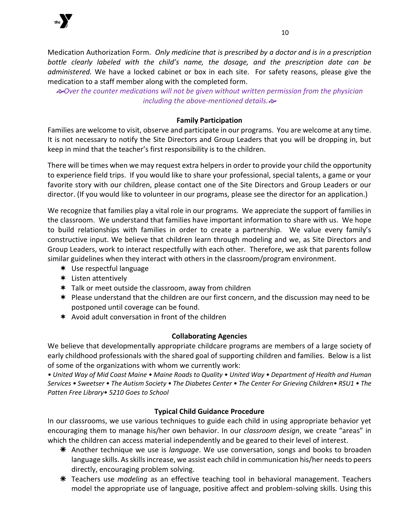

Medication Authorization Form. *Only medicine that is prescribed by a doctor and is in a prescription bottle clearly labeled with the child's name, the dosage, and the prescription date can be administered.* We have a locked cabinet or box in each site. For safety reasons, please give the medication to a staff member along with the completed form.

*Over the counter medications will not be given without written permission from the physician including the above-mentioned details.*

# **Family Participation**

Families are welcome to visit, observe and participate in our programs. You are welcome at any time. It is not necessary to notify the Site Directors and Group Leaders that you will be dropping in, but keep in mind that the teacher's first responsibility is to the children.

There will be times when we may request extra helpers in order to provide your child the opportunity to experience field trips. If you would like to share your professional, special talents, a game or your favorite story with our children, please contact one of the Site Directors and Group Leaders or our director. (If you would like to volunteer in our programs, please see the director for an application.)

We recognize that families play a vital role in our programs. We appreciate the support of families in the classroom. We understand that families have important information to share with us. We hope to build relationships with families in order to create a partnership. We value every family's constructive input. We believe that children learn through modeling and we, as Site Directors and Group Leaders, work to interact respectfully with each other. Therefore, we ask that parents follow similar guidelines when they interact with others in the classroom/program environment.

- Use respectful language
- Listen attentively
- Talk or meet outside the classroom, away from children
- \* Please understand that the children are our first concern, and the discussion may need to be postponed until coverage can be found.
- $*$  Avoid adult conversation in front of the children

# **Collaborating Agencies**

We believe that developmentally appropriate childcare programs are members of a large society of early childhood professionals with the shared goal of supporting children and families. Below is a list of some of the organizations with whom we currently work:

*• United Way of Mid Coast Maine • Maine Roads to Quality • United Way • Department of Health and Human Services • Sweetser • The Autism Society • The Diabetes Center • The Center For Grieving Children• RSU1 • The Patten Free Library• 5210 Goes to School*

# **Typical Child Guidance Procedure**

In our classrooms, we use various techniques to guide each child in using appropriate behavior yet encouraging them to manage his/her own behavior. In our *classroom design*, we create "areas" in which the children can access material independently and be geared to their level of interest.

- Another technique we use is *language*. We use conversation, songs and books to broaden language skills. As skills increase, we assist each child in communication his/her needs to peers directly, encouraging problem solving.
- Teachers use *modeling* as an effective teaching tool in behavioral management. Teachers model the appropriate use of language, positive affect and problem-solving skills. Using this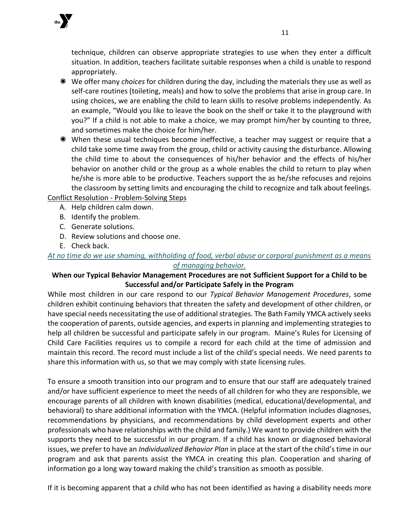

- We offer many *choices* for children during the day, including the materials they use as well as self-care routines (toileting, meals) and how to solve the problems that arise in group care. In using choices, we are enabling the child to learn skills to resolve problems independently. As an example, "Would you like to leave the book on the shelf or take it to the playground with you?" If a child is not able to make a choice, we may prompt him/her by counting to three, and sometimes make the choice for him/her.
- $*$  When these usual techniques become ineffective, a teacher may suggest or require that a child take some time away from the group, child or activity causing the disturbance. Allowing the child time to about the consequences of his/her behavior and the effects of his/her behavior on another child or the group as a whole enables the child to return to play when he/she is more able to be productive. Teachers support the as he/she refocuses and rejoins the classroom by setting limits and encouraging the child to recognize and talk about feelings.

# Conflict Resolution - Problem-Solving Steps

- A. Help children calm down.
- B. Identify the problem.
- C. Generate solutions.
- D. Review solutions and choose one.
- E. Check back.

# *At no time do we use shaming, withholding of food, verbal abuse or corporal punishment as a means of managing behavior.*

# **When our Typical Behavior Management Procedures are not Sufficient Support for a Child to be Successful and/or Participate Safely in the Program**

While most children in our care respond to our *Typical Behavior Management Procedures*, some children exhibit continuing behaviors that threaten the safety and development of other children, or have special needs necessitating the use of additional strategies. The Bath Family YMCA actively seeks the cooperation of parents, outside agencies, and experts in planning and implementing strategies to help all children be successful and participate safely in our program. Maine's Rules for Licensing of Child Care Facilities requires us to compile a record for each child at the time of admission and maintain this record. The record must include a list of the child's special needs. We need parents to share this information with us, so that we may comply with state licensing rules.

To ensure a smooth transition into our program and to ensure that our staff are adequately trained and/or have sufficient experience to meet the needs of all children for who they are responsible, we encourage parents of all children with known disabilities (medical, educational/developmental, and behavioral) to share additional information with the YMCA. (Helpful information includes diagnoses, recommendations by physicians, and recommendations by child development experts and other professionals who have relationships with the child and family.) We want to provide children with the supports they need to be successful in our program. If a child has known or diagnosed behavioral issues, we prefer to have an *Individualized Behavior Plan* in place at the start of the child's time in our program and ask that parents assist the YMCA in creating this plan. Cooperation and sharing of information go a long way toward making the child's transition as smooth as possible.

If it is becoming apparent that a child who has not been identified as having a disability needs more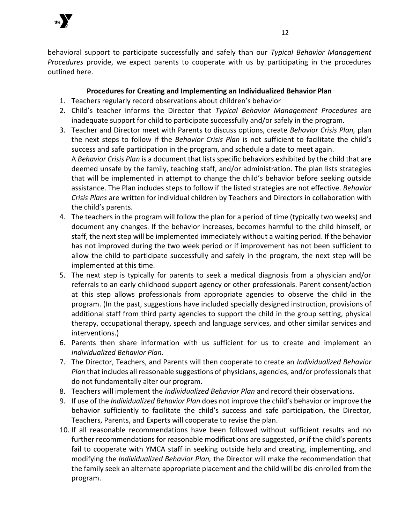

behavioral support to participate successfully and safely than our *Typical Behavior Management Procedures* provide, we expect parents to cooperate with us by participating in the procedures outlined here.

# **Procedures for Creating and Implementing an Individualized Behavior Plan**

- 1. Teachers regularly record observations about children's behavior
- 2. Child's teacher informs the Director that *Typical Behavior Management Procedures* are inadequate support for child to participate successfully and/or safely in the program.
- 3. Teacher and Director meet with Parents to discuss options, create *Behavior Crisis Plan,* plan the next steps to follow if the *Behavior Crisis Plan* is not sufficient to facilitate the child's success and safe participation in the program, and schedule a date to meet again. A *Behavior Crisis Plan* is a document that lists specific behaviors exhibited by the child that are deemed unsafe by the family, teaching staff, and/or administration. The plan lists strategies that will be implemented in attempt to change the child's behavior before seeking outside assistance. The Plan includes steps to follow if the listed strategies are not effective. *Behavior Crisis Plans* are written for individual children by Teachers and Directors in collaboration with the child's parents.
- 4. The teachers in the program will follow the plan for a period of time (typically two weeks) and document any changes. If the behavior increases, becomes harmful to the child himself, or staff, the next step will be implemented immediately without a waiting period. If the behavior has not improved during the two week period or if improvement has not been sufficient to allow the child to participate successfully and safely in the program, the next step will be implemented at this time.
- 5. The next step is typically for parents to seek a medical diagnosis from a physician and/or referrals to an early childhood support agency or other professionals. Parent consent/action at this step allows professionals from appropriate agencies to observe the child in the program. (In the past, suggestions have included specially designed instruction, provisions of additional staff from third party agencies to support the child in the group setting, physical therapy, occupational therapy, speech and language services, and other similar services and interventions.)
- 6. Parents then share information with us sufficient for us to create and implement an *Individualized Behavior Plan.*
- 7. The Director, Teachers, and Parents will then cooperate to create an *Individualized Behavior Plan* that includes all reasonable suggestions of physicians, agencies, and/or professionals that do not fundamentally alter our program.
- 8. Teachers will implement the *Individualized Behavior Plan* and record their observations.
- 9. If use of the *Individualized Behavior Plan* does not improve the child's behavior or improve the behavior sufficiently to facilitate the child's success and safe participation, the Director, Teachers, Parents, and Experts will cooperate to revise the plan.
- 10. If all reasonable recommendations have been followed without sufficient results and no further recommendations for reasonable modifications are suggested, *or* if the child's parents fail to cooperate with YMCA staff in seeking outside help and creating, implementing, and modifying the *Individualized Behavior Plan,* the Director will make the recommendation that the family seek an alternate appropriate placement and the child will be dis-enrolled from the program.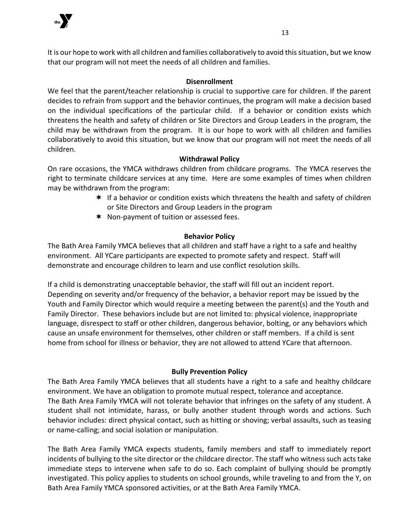

It is our hope to work with all children and families collaboratively to avoid this situation, but we know that our program will not meet the needs of all children and families.

# **Disenrollment**

We feel that the parent/teacher relationship is crucial to supportive care for children. If the parent decides to refrain from support and the behavior continues, the program will make a decision based on the individual specifications of the particular child. If a behavior or condition exists which threatens the health and safety of children or Site Directors and Group Leaders in the program, the child may be withdrawn from the program. It is our hope to work with all children and families collaboratively to avoid this situation, but we know that our program will not meet the needs of all children.

# **Withdrawal Policy**

On rare occasions, the YMCA withdraws children from childcare programs. The YMCA reserves the right to terminate childcare services at any time. Here are some examples of times when children may be withdrawn from the program:

- $*$  If a behavior or condition exists which threatens the health and safety of children or Site Directors and Group Leaders in the program
- \* Non-payment of tuition or assessed fees.

# **Behavior Policy**

The Bath Area Family YMCA believes that all children and staff have a right to a safe and healthy environment. All YCare participants are expected to promote safety and respect. Staff will demonstrate and encourage children to learn and use conflict resolution skills.

If a child is demonstrating unacceptable behavior, the staff will fill out an incident report. Depending on severity and/or frequency of the behavior, a behavior report may be issued by the Youth and Family Director which would require a meeting between the parent(s) and the Youth and Family Director. These behaviors include but are not limited to: physical violence, inappropriate language, disrespect to staff or other children, dangerous behavior, bolting, or any behaviors which cause an unsafe environment for themselves, other children or staff members. If a child is sent home from school for illness or behavior, they are not allowed to attend YCare that afternoon.

# **Bully Prevention Policy**

The Bath Area Family YMCA believes that all students have a right to a safe and healthy childcare environment. We have an obligation to promote mutual respect, tolerance and acceptance. The Bath Area Family YMCA will not tolerate behavior that infringes on the safety of any student. A student shall not intimidate, harass, or bully another student through words and actions. Such behavior includes: direct physical contact, such as hitting or shoving; verbal assaults, such as teasing or name-calling; and social isolation or manipulation.

The Bath Area Family YMCA expects students, family members and staff to immediately report incidents of bullying to the site director or the childcare director. The staff who witness such acts take immediate steps to intervene when safe to do so. Each complaint of bullying should be promptly investigated. This policy applies to students on school grounds, while traveling to and from the Y, on Bath Area Family YMCA sponsored activities, or at the Bath Area Family YMCA.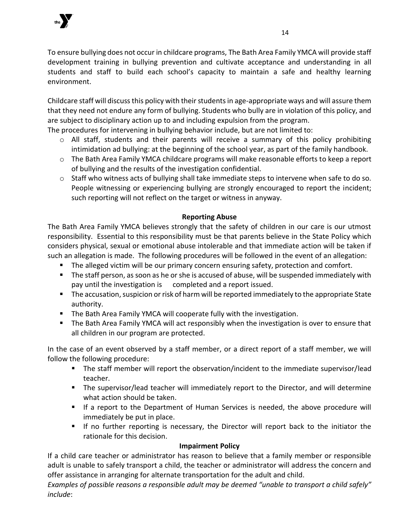

To ensure bullying does not occur in childcare programs, The Bath Area Family YMCA will provide staff development training in bullying prevention and cultivate acceptance and understanding in all students and staff to build each school's capacity to maintain a safe and healthy learning environment.

Childcare staff will discuss this policy with their students in age-appropriate ways and will assure them that they need not endure any form of bullying. Students who bully are in violation of this policy, and are subject to disciplinary action up to and including expulsion from the program.

The procedures for intervening in bullying behavior include, but are not limited to:

- $\circ$  All staff, students and their parents will receive a summary of this policy prohibiting intimidation ad bullying: at the beginning of the school year, as part of the family handbook.
- o The Bath Area Family YMCA childcare programs will make reasonable efforts to keep a report of bullying and the results of the investigation confidential.
- $\circ$  Staff who witness acts of bullying shall take immediate steps to intervene when safe to do so. People witnessing or experiencing bullying are strongly encouraged to report the incident; such reporting will not reflect on the target or witness in anyway.

# **Reporting Abuse**

The Bath Area Family YMCA believes strongly that the safety of children in our care is our utmost responsibility. Essential to this responsibility must be that parents believe in the State Policy which considers physical, sexual or emotional abuse intolerable and that immediate action will be taken if such an allegation is made. The following procedures will be followed in the event of an allegation:

- The alleged victim will be our primary concern ensuring safety, protection and comfort.
- **•** The staff person, as soon as he or she is accused of abuse, will be suspended immediately with pay until the investigation is completed and a report issued.
- The accusation, suspicion or risk of harm will be reported immediately to the appropriate State authority.
- The Bath Area Family YMCA will cooperate fully with the investigation.
- The Bath Area Family YMCA will act responsibly when the investigation is over to ensure that all children in our program are protected.

In the case of an event observed by a staff member, or a direct report of a staff member, we will follow the following procedure:

- The staff member will report the observation/incident to the immediate supervisor/lead teacher.
- The supervisor/lead teacher will immediately report to the Director, and will determine what action should be taken.
- **E** If a report to the Department of Human Services is needed, the above procedure will immediately be put in place.
- If no further reporting is necessary, the Director will report back to the initiator the rationale for this decision.

# **Impairment Policy**

If a child care teacher or administrator has reason to believe that a family member or responsible adult is unable to safely transport a child, the teacher or administrator will address the concern and offer assistance in arranging for alternate transportation for the adult and child.

*Examples of possible reasons a responsible adult may be deemed "unable to transport a child safely" include*: